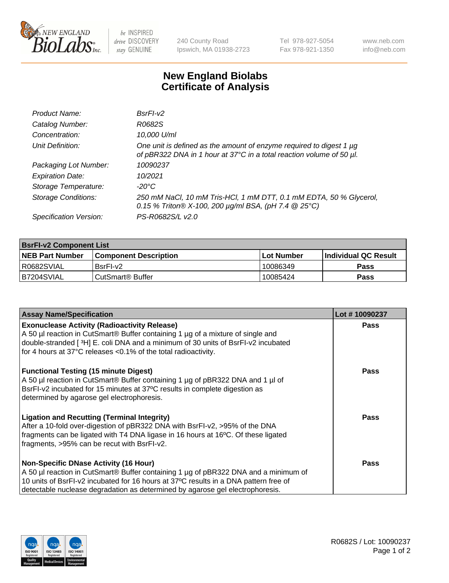

 $be$  INSPIRED drive DISCOVERY stay GENUINE

240 County Road Ipswich, MA 01938-2723 Tel 978-927-5054 Fax 978-921-1350 www.neb.com info@neb.com

## **New England Biolabs Certificate of Analysis**

| Product Name:              | BsrFI-v2                                                                                                                                    |
|----------------------------|---------------------------------------------------------------------------------------------------------------------------------------------|
| Catalog Number:            | R0682S                                                                                                                                      |
| Concentration:             | 10,000 U/ml                                                                                                                                 |
| Unit Definition:           | One unit is defined as the amount of enzyme required to digest 1 µg<br>of pBR322 DNA in 1 hour at 37°C in a total reaction volume of 50 µl. |
| Packaging Lot Number:      | 10090237                                                                                                                                    |
| <b>Expiration Date:</b>    | 10/2021                                                                                                                                     |
| Storage Temperature:       | -20°C                                                                                                                                       |
| <b>Storage Conditions:</b> | 250 mM NaCl, 10 mM Tris-HCl, 1 mM DTT, 0.1 mM EDTA, 50 % Glycerol,<br>0.15 % Triton® X-100, 200 $\mu$ g/ml BSA, (pH 7.4 @ 25°C)             |
| Specification Version:     | PS-R0682S/L v2.0                                                                                                                            |

| <b>BsrFI-v2 Component List</b> |                              |                   |                             |  |  |
|--------------------------------|------------------------------|-------------------|-----------------------------|--|--|
| <b>NEB Part Number</b>         | <b>Component Description</b> | <b>Lot Number</b> | <b>Individual QC Result</b> |  |  |
| I R0682SVIAL                   | BsrFI-v2                     | 10086349          | <b>Pass</b>                 |  |  |
| B7204SVIAL                     | l CutSmart® Buffer           | 10085424          | Pass                        |  |  |

| <b>Assay Name/Specification</b>                                                                                                                                                                                                                                       | Lot #10090237 |
|-----------------------------------------------------------------------------------------------------------------------------------------------------------------------------------------------------------------------------------------------------------------------|---------------|
| <b>Exonuclease Activity (Radioactivity Release)</b><br>A 50 µl reaction in CutSmart® Buffer containing 1 µg of a mixture of single and                                                                                                                                | <b>Pass</b>   |
| double-stranded [3H] E. coli DNA and a minimum of 30 units of BsrFI-v2 incubated<br>for 4 hours at 37°C releases <0.1% of the total radioactivity.                                                                                                                    |               |
| <b>Functional Testing (15 minute Digest)</b><br>A 50 µl reaction in CutSmart® Buffer containing 1 µg of pBR322 DNA and 1 µl of<br>BsrFI-v2 incubated for 15 minutes at 37°C results in complete digestion as<br>determined by agarose gel electrophoresis.            | Pass          |
| <b>Ligation and Recutting (Terminal Integrity)</b><br>After a 10-fold over-digestion of pBR322 DNA with BsrFI-v2, >95% of the DNA<br>fragments can be ligated with T4 DNA ligase in 16 hours at 16°C. Of these ligated<br>fragments, >95% can be recut with BsrFI-v2. | Pass          |
| <b>Non-Specific DNase Activity (16 Hour)</b>                                                                                                                                                                                                                          | Pass          |
| A 50 µl reaction in CutSmart <sup>®</sup> Buffer containing 1 µg of pBR322 DNA and a minimum of                                                                                                                                                                       |               |
| 10 units of BsrFI-v2 incubated for 16 hours at 37°C results in a DNA pattern free of<br>detectable nuclease degradation as determined by agarose gel electrophoresis.                                                                                                 |               |